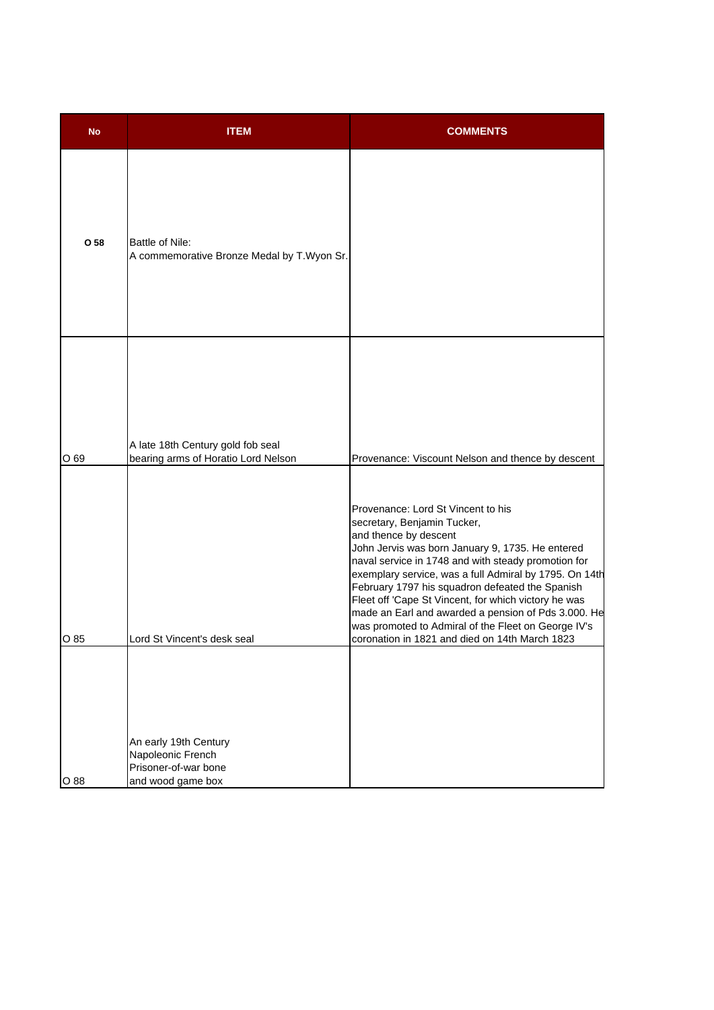| <b>No</b> | <b>ITEM</b>                                                                             | <b>COMMENTS</b>                                                                                                                                                                                                                                                                                                                                                                                                                                                                                                                            |
|-----------|-----------------------------------------------------------------------------------------|--------------------------------------------------------------------------------------------------------------------------------------------------------------------------------------------------------------------------------------------------------------------------------------------------------------------------------------------------------------------------------------------------------------------------------------------------------------------------------------------------------------------------------------------|
| O 58      | Battle of Nile:<br>A commemorative Bronze Medal by T.Wyon Sr.                           |                                                                                                                                                                                                                                                                                                                                                                                                                                                                                                                                            |
| O 69      | A late 18th Century gold fob seal<br>bearing arms of Horatio Lord Nelson                | Provenance: Viscount Nelson and thence by descent                                                                                                                                                                                                                                                                                                                                                                                                                                                                                          |
| O 85      | Lord St Vincent's desk seal                                                             | Provenance: Lord St Vincent to his<br>secretary, Benjamin Tucker,<br>and thence by descent<br>John Jervis was born January 9, 1735. He entered<br>naval service in 1748 and with steady promotion for<br>exemplary service, was a full Admiral by 1795. On 14th<br>February 1797 his squadron defeated the Spanish<br>Fleet off 'Cape St Vincent, for which victory he was<br>made an Earl and awarded a pension of Pds 3.000. He<br>was promoted to Admiral of the Fleet on George IV's<br>coronation in 1821 and died on 14th March 1823 |
| O 88      | An early 19th Century<br>Napoleonic French<br>Prisoner-of-war bone<br>and wood game box |                                                                                                                                                                                                                                                                                                                                                                                                                                                                                                                                            |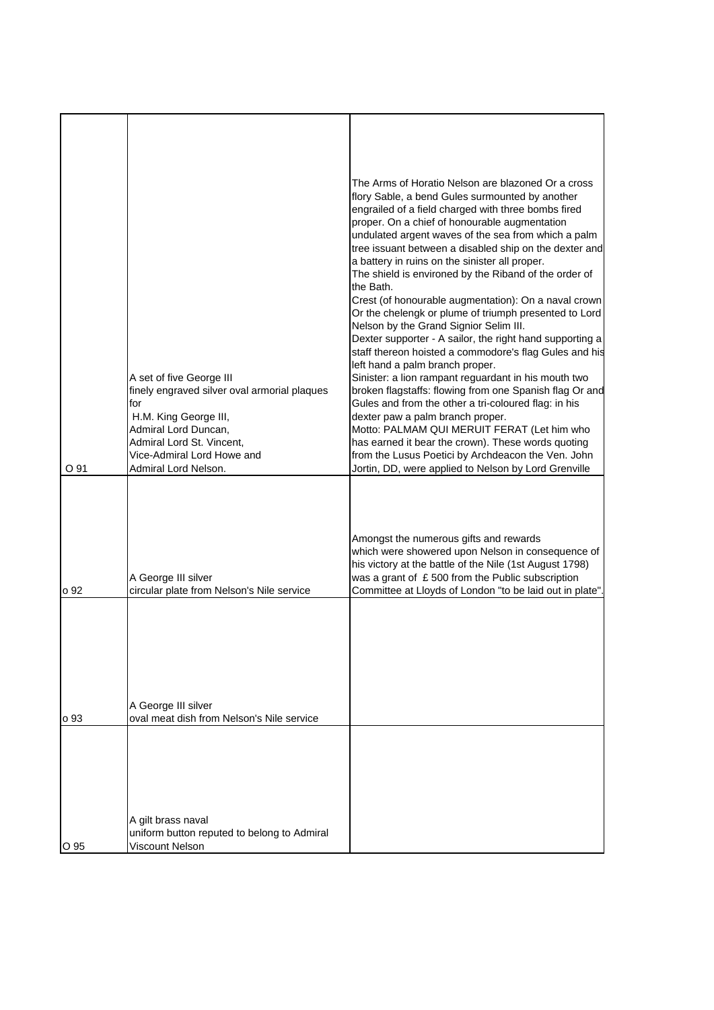| O 91         | A set of five George III<br>finely engraved silver oval armorial plaques<br>for<br>H.M. King George III,<br>Admiral Lord Duncan,<br>Admiral Lord St. Vincent,<br>Vice-Admiral Lord Howe and<br>Admiral Lord Nelson. | The Arms of Horatio Nelson are blazoned Or a cross<br>flory Sable, a bend Gules surmounted by another<br>engrailed of a field charged with three bombs fired<br>proper. On a chief of honourable augmentation<br>undulated argent waves of the sea from which a palm<br>tree issuant between a disabled ship on the dexter and<br>a battery in ruins on the sinister all proper.<br>The shield is environed by the Riband of the order of<br>the Bath.<br>Crest (of honourable augmentation): On a naval crown<br>Or the chelengk or plume of triumph presented to Lord<br>Nelson by the Grand Signior Selim III.<br>Dexter supporter - A sailor, the right hand supporting a<br>staff thereon hoisted a commodore's flag Gules and his<br>left hand a palm branch proper.<br>Sinister: a lion rampant reguardant in his mouth two<br>broken flagstaffs: flowing from one Spanish flag Or and<br>Gules and from the other a tri-coloured flag: in his<br>dexter paw a palm branch proper.<br>Motto: PALMAM QUI MERUIT FERAT (Let him who<br>has earned it bear the crown). These words quoting<br>from the Lusus Poetici by Archdeacon the Ven. John<br>Jortin, DD, were applied to Nelson by Lord Grenville |
|--------------|---------------------------------------------------------------------------------------------------------------------------------------------------------------------------------------------------------------------|--------------------------------------------------------------------------------------------------------------------------------------------------------------------------------------------------------------------------------------------------------------------------------------------------------------------------------------------------------------------------------------------------------------------------------------------------------------------------------------------------------------------------------------------------------------------------------------------------------------------------------------------------------------------------------------------------------------------------------------------------------------------------------------------------------------------------------------------------------------------------------------------------------------------------------------------------------------------------------------------------------------------------------------------------------------------------------------------------------------------------------------------------------------------------------------------------------------|
|              | A George III silver                                                                                                                                                                                                 | Amongst the numerous gifts and rewards<br>which were showered upon Nelson in consequence of<br>his victory at the battle of the Nile (1st August 1798)<br>was a grant of £500 from the Public subscription                                                                                                                                                                                                                                                                                                                                                                                                                                                                                                                                                                                                                                                                                                                                                                                                                                                                                                                                                                                                   |
| o 92<br>o 93 | circular plate from Nelson's Nile service<br>A George III silver<br>oval meat dish from Nelson's Nile service                                                                                                       | Committee at Lloyds of London "to be laid out in plate"                                                                                                                                                                                                                                                                                                                                                                                                                                                                                                                                                                                                                                                                                                                                                                                                                                                                                                                                                                                                                                                                                                                                                      |
|              | A gilt brass naval                                                                                                                                                                                                  |                                                                                                                                                                                                                                                                                                                                                                                                                                                                                                                                                                                                                                                                                                                                                                                                                                                                                                                                                                                                                                                                                                                                                                                                              |
| O 95         | uniform button reputed to belong to Admiral<br>Viscount Nelson                                                                                                                                                      |                                                                                                                                                                                                                                                                                                                                                                                                                                                                                                                                                                                                                                                                                                                                                                                                                                                                                                                                                                                                                                                                                                                                                                                                              |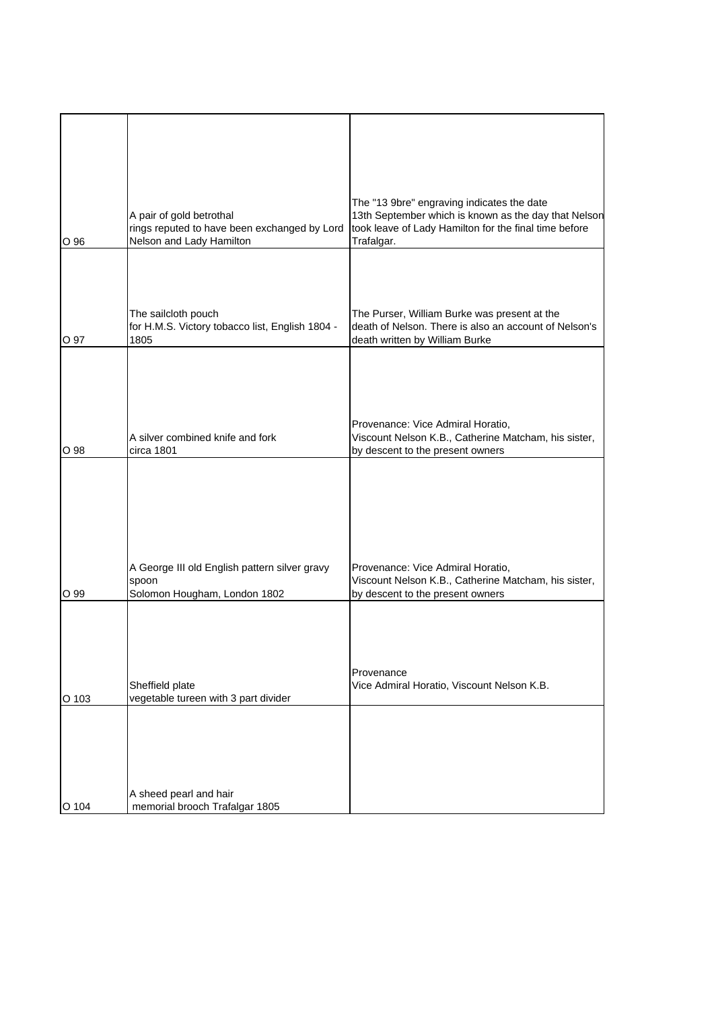| O 96  | A pair of gold betrothal<br>rings reputed to have been exchanged by Lord<br>Nelson and Lady Hamilton | The "13 9bre" engraving indicates the date<br>13th September which is known as the day that Nelson<br>took leave of Lady Hamilton for the final time before<br>Trafalgar. |
|-------|------------------------------------------------------------------------------------------------------|---------------------------------------------------------------------------------------------------------------------------------------------------------------------------|
|       |                                                                                                      |                                                                                                                                                                           |
| O 97  | The sailcloth pouch<br>for H.M.S. Victory tobacco list, English 1804 -<br>1805                       | The Purser, William Burke was present at the<br>death of Nelson. There is also an account of Nelson's<br>death written by William Burke                                   |
|       |                                                                                                      |                                                                                                                                                                           |
| O 98  | A silver combined knife and fork<br>circa 1801                                                       | Provenance: Vice Admiral Horatio,<br>Viscount Nelson K.B., Catherine Matcham, his sister,<br>by descent to the present owners                                             |
|       |                                                                                                      |                                                                                                                                                                           |
|       |                                                                                                      |                                                                                                                                                                           |
| O 99  | A George III old English pattern silver gravy<br>spoon<br>Solomon Hougham, London 1802               | Provenance: Vice Admiral Horatio,<br>Viscount Nelson K.B., Catherine Matcham, his sister,<br>by descent to the present owners                                             |
|       |                                                                                                      |                                                                                                                                                                           |
| O 103 | Sheffield plate<br>vegetable tureen with 3 part divider                                              | Provenance<br>Vice Admiral Horatio, Viscount Nelson K.B.                                                                                                                  |
|       |                                                                                                      |                                                                                                                                                                           |
|       |                                                                                                      |                                                                                                                                                                           |
| O 104 | A sheed pearl and hair<br>memorial brooch Trafalgar 1805                                             |                                                                                                                                                                           |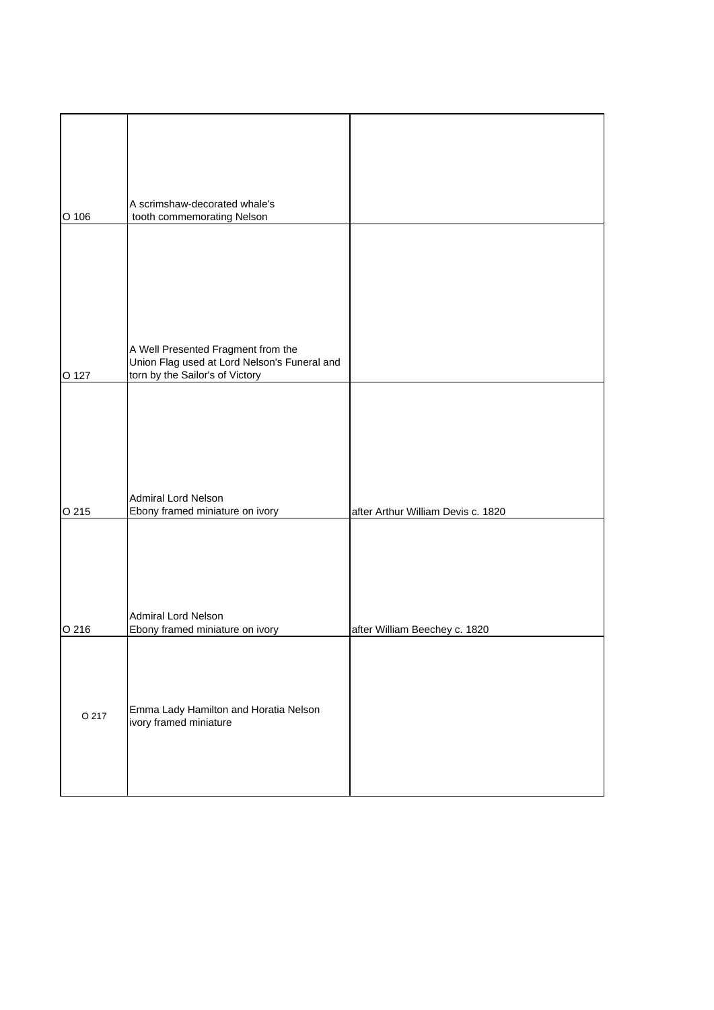| O 106 | A scrimshaw-decorated whale's<br>tooth commemorating Nelson                                                           |                                    |
|-------|-----------------------------------------------------------------------------------------------------------------------|------------------------------------|
|       |                                                                                                                       |                                    |
|       |                                                                                                                       |                                    |
| O 127 | A Well Presented Fragment from the<br>Union Flag used at Lord Nelson's Funeral and<br>torn by the Sailor's of Victory |                                    |
|       |                                                                                                                       |                                    |
|       |                                                                                                                       |                                    |
| O 215 | <b>Admiral Lord Nelson</b><br>Ebony framed miniature on ivory                                                         | after Arthur William Devis c. 1820 |
|       |                                                                                                                       |                                    |
|       |                                                                                                                       |                                    |
|       |                                                                                                                       |                                    |
| O 216 | Admiral Lord Nelson<br>Ebony framed miniature on ivory                                                                | after William Beechey c. 1820      |
|       |                                                                                                                       |                                    |
|       |                                                                                                                       |                                    |
| O 217 | Emma Lady Hamilton and Horatia Nelson<br>ivory framed miniature                                                       |                                    |
|       |                                                                                                                       |                                    |
|       |                                                                                                                       |                                    |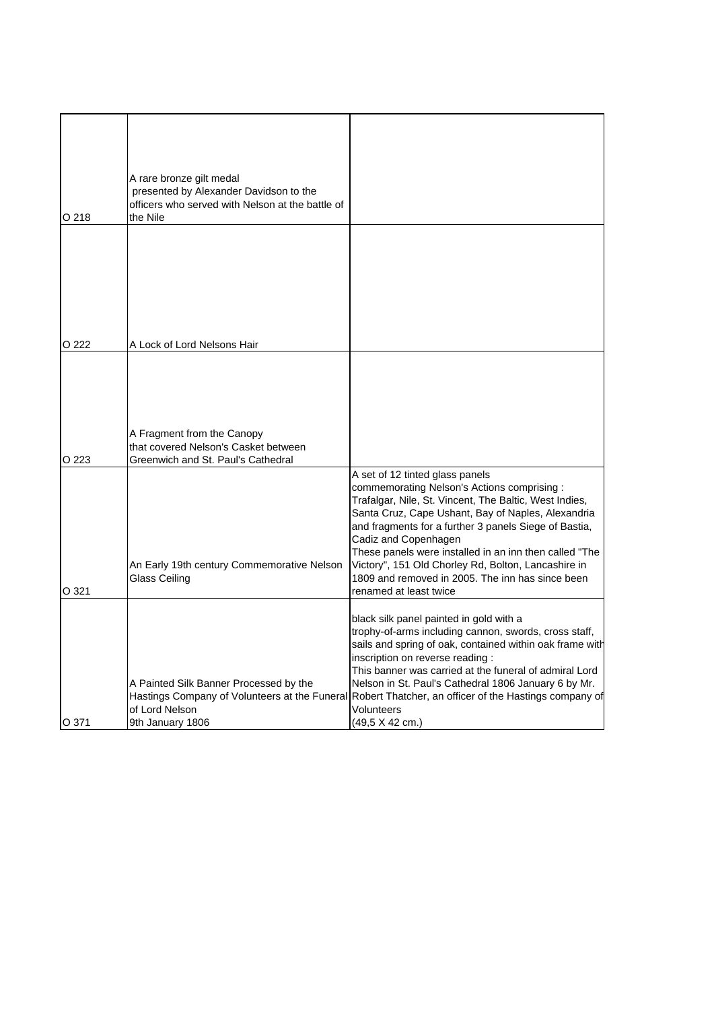| O 218 | A rare bronze gilt medal<br>presented by Alexander Davidson to the<br>officers who served with Nelson at the battle of<br>the Nile |                                                                                                                    |
|-------|------------------------------------------------------------------------------------------------------------------------------------|--------------------------------------------------------------------------------------------------------------------|
|       |                                                                                                                                    |                                                                                                                    |
|       |                                                                                                                                    |                                                                                                                    |
|       |                                                                                                                                    |                                                                                                                    |
|       |                                                                                                                                    |                                                                                                                    |
| O 222 | A Lock of Lord Nelsons Hair                                                                                                        |                                                                                                                    |
|       |                                                                                                                                    |                                                                                                                    |
|       |                                                                                                                                    |                                                                                                                    |
|       |                                                                                                                                    |                                                                                                                    |
|       | A Fragment from the Canopy                                                                                                         |                                                                                                                    |
| O 223 | that covered Nelson's Casket between<br>Greenwich and St. Paul's Cathedral                                                         |                                                                                                                    |
|       |                                                                                                                                    | A set of 12 tinted glass panels                                                                                    |
|       |                                                                                                                                    | commemorating Nelson's Actions comprising:<br>Trafalgar, Nile, St. Vincent, The Baltic, West Indies,               |
|       |                                                                                                                                    | Santa Cruz, Cape Ushant, Bay of Naples, Alexandria<br>and fragments for a further 3 panels Siege of Bastia,        |
|       |                                                                                                                                    | Cadiz and Copenhagen<br>These panels were installed in an inn then called "The                                     |
|       | An Early 19th century Commemorative Nelson                                                                                         | Victory", 151 Old Chorley Rd, Bolton, Lancashire in                                                                |
| O 321 | <b>Glass Ceiling</b>                                                                                                               | 1809 and removed in 2005. The inn has since been<br>renamed at least twice                                         |
|       |                                                                                                                                    | black silk panel painted in gold with a                                                                            |
|       |                                                                                                                                    | trophy-of-arms including cannon, swords, cross staff,                                                              |
|       |                                                                                                                                    | sails and spring of oak, contained within oak frame with<br>inscription on reverse reading:                        |
|       |                                                                                                                                    | This banner was carried at the funeral of admiral Lord                                                             |
|       | A Painted Silk Banner Processed by the                                                                                             | Nelson in St. Paul's Cathedral 1806 January 6 by Mr.                                                               |
|       | of Lord Nelson                                                                                                                     | Hastings Company of Volunteers at the Funeral Robert Thatcher, an officer of the Hastings company of<br>Volunteers |
| O 371 | 9th January 1806                                                                                                                   | $(49.5 \times 42 \text{ cm.})$                                                                                     |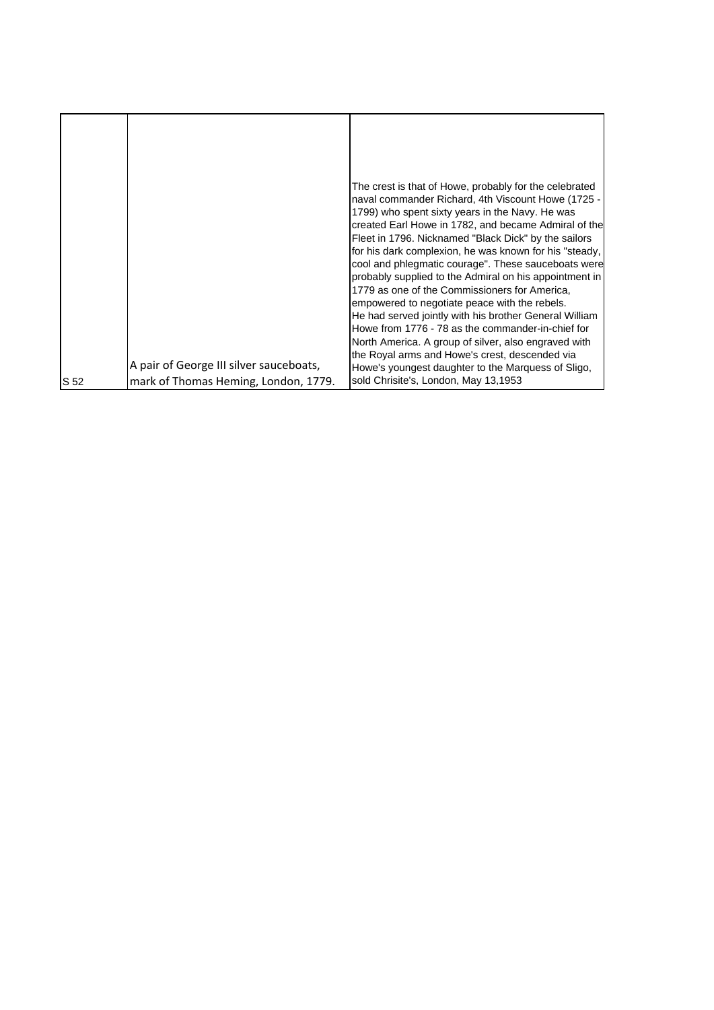|            |                                         | The crest is that of Howe, probably for the celebrated<br>naval commander Richard, 4th Viscount Howe (1725 -<br>1799) who spent sixty years in the Navy. He was<br>created Earl Howe in 1782, and became Admiral of the<br>Fleet in 1796. Nicknamed "Black Dick" by the sailors<br>for his dark complexion, he was known for his "steady,<br>cool and phlegmatic courage". These sauceboats were<br>probably supplied to the Admiral on his appointment in<br>1779 as one of the Commissioners for America,<br>empowered to negotiate peace with the rebels.<br>He had served jointly with his brother General William<br>Howe from 1776 - 78 as the commander-in-chief for<br>North America. A group of silver, also engraved with<br>the Royal arms and Howe's crest, descended via |
|------------|-----------------------------------------|---------------------------------------------------------------------------------------------------------------------------------------------------------------------------------------------------------------------------------------------------------------------------------------------------------------------------------------------------------------------------------------------------------------------------------------------------------------------------------------------------------------------------------------------------------------------------------------------------------------------------------------------------------------------------------------------------------------------------------------------------------------------------------------|
|            | A pair of George III silver sauceboats, | Howe's youngest daughter to the Marguess of Sligo,                                                                                                                                                                                                                                                                                                                                                                                                                                                                                                                                                                                                                                                                                                                                    |
| <b>S52</b> | mark of Thomas Heming, London, 1779.    | sold Chrisite's, London, May 13,1953                                                                                                                                                                                                                                                                                                                                                                                                                                                                                                                                                                                                                                                                                                                                                  |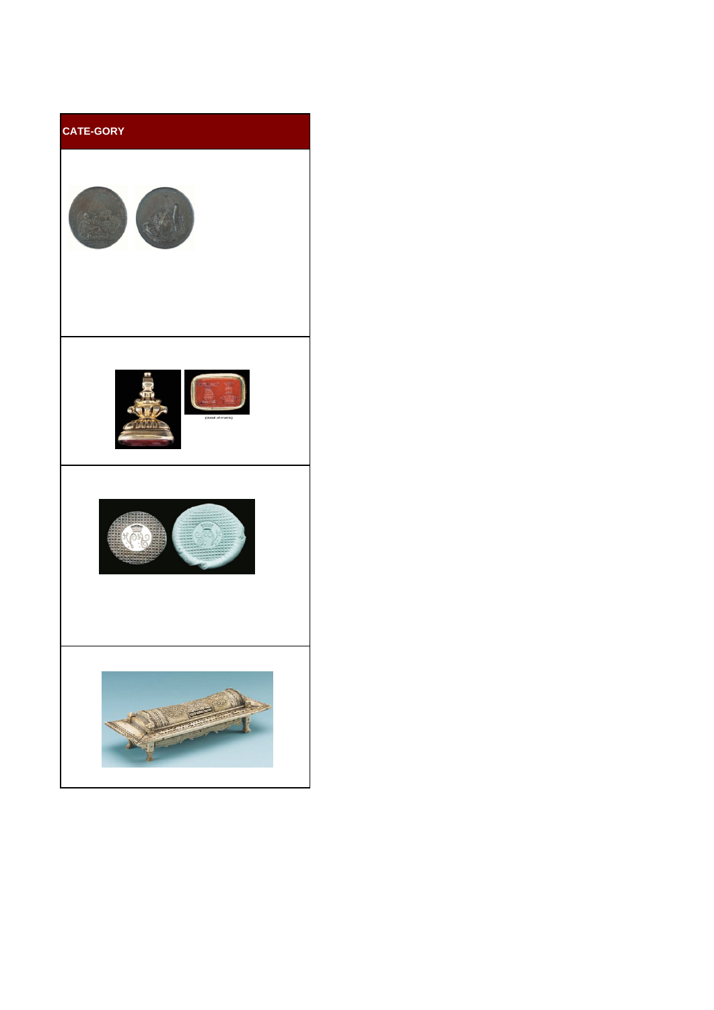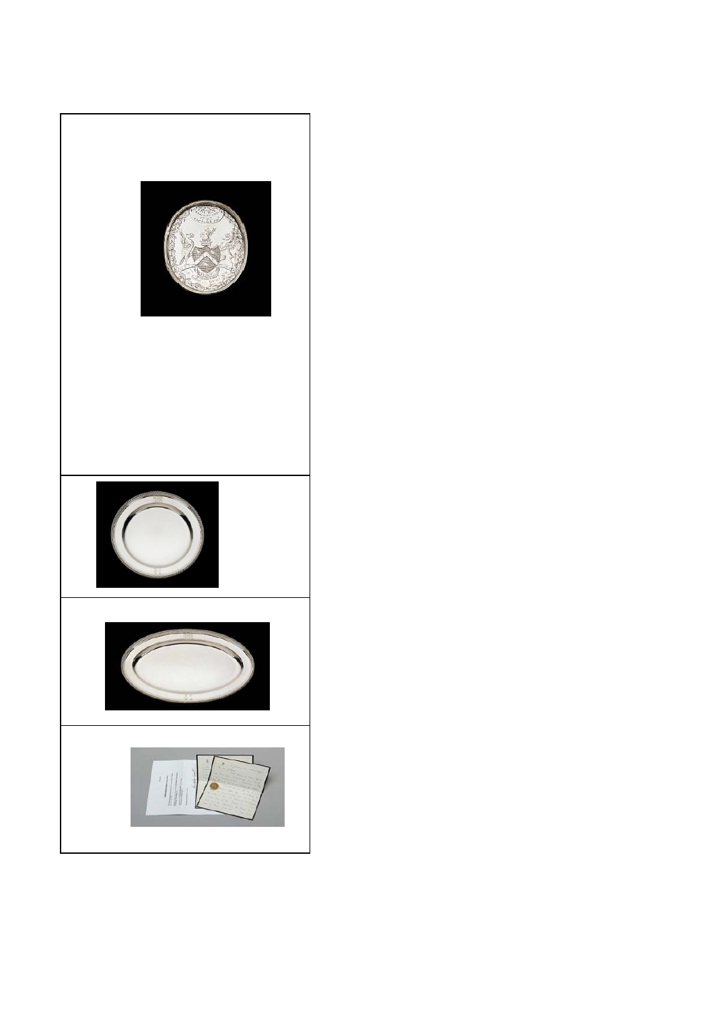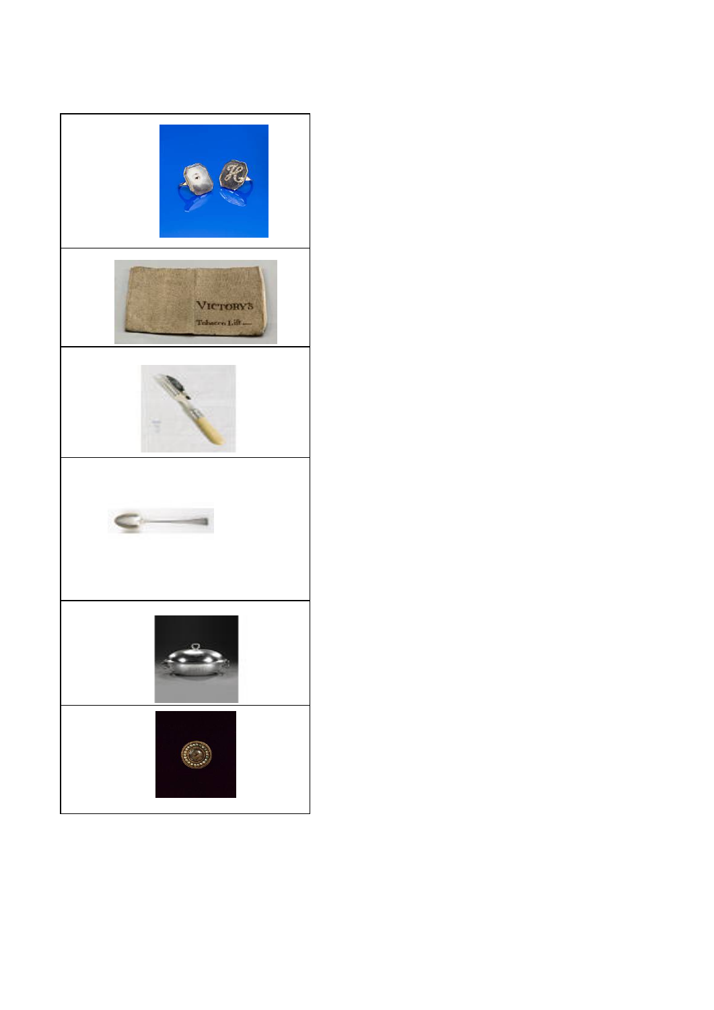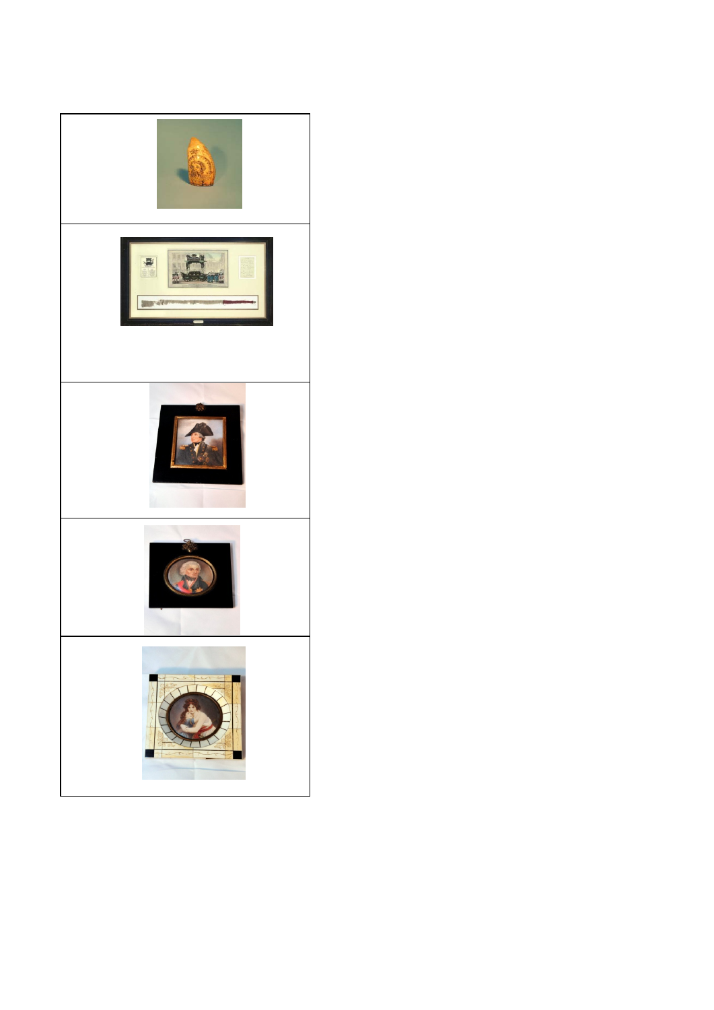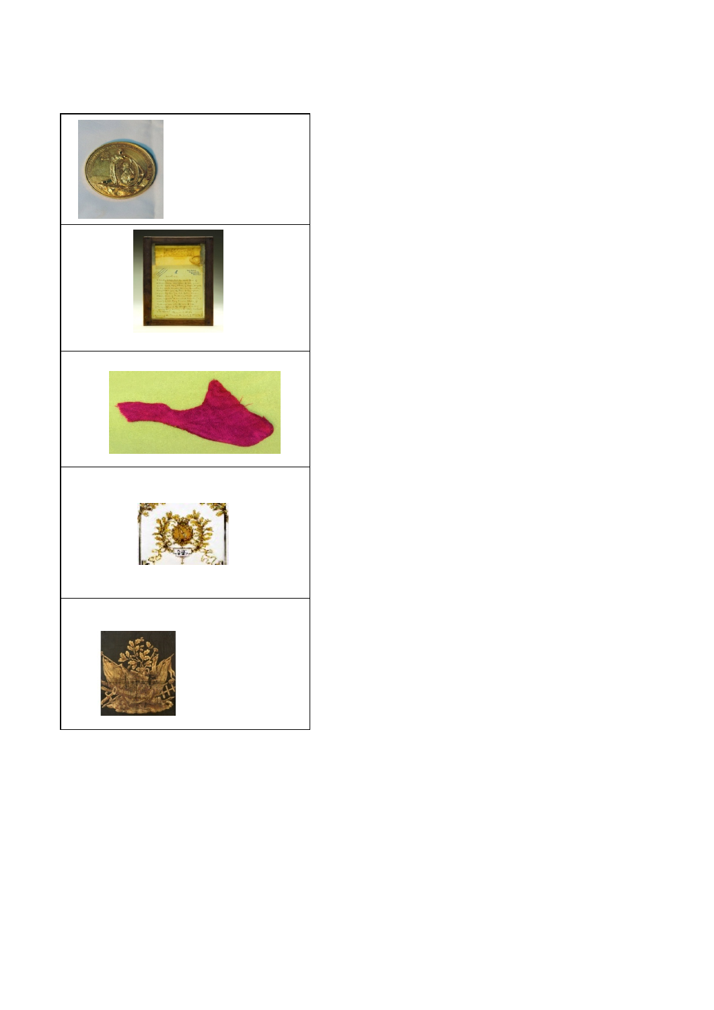